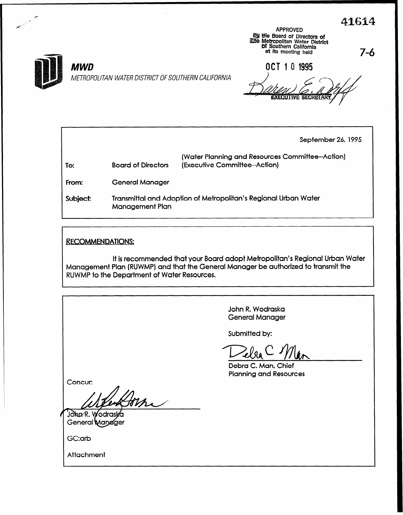$\overline{416}$ 



9 / ,

**MWD** 

METROPOLITAN WATER DISTRICT OF SOUTHERN CALIFORNIA

APPROVED by the Board of Directors of<br>
Metropolitan Water District<br>
of Southern California<br>
at its meeting held 7-6

OCT 10 1995

executive se(

September 26, 1995

| To:      | <b>Board of Directors</b>                                       | (Water Planning and Resources Committee-Action)<br>(Executive Committee-Action) |
|----------|-----------------------------------------------------------------|---------------------------------------------------------------------------------|
| From:    | <b>General Manager</b>                                          |                                                                                 |
| Subject: | Transmittal and Adoption of Metropolitan's Regional Urban Water |                                                                                 |

Management Plan

RECOMMENDATIONS:

It is recommended that your Board adopt Metropolitan's Regional Urban Water Management Plan (RUWMP) and that the General Manager be authorized to transmit the RUWMP to the Department of Water Resources.

> John R. Wodraska General Manager

Submitted by:

 $\overline{\phantom{a}}$ 

Debra C. Man, Chief Planning and Resources

Concur:

m

John/R. Wodraska General Mandger

GC:arb

**Attachment**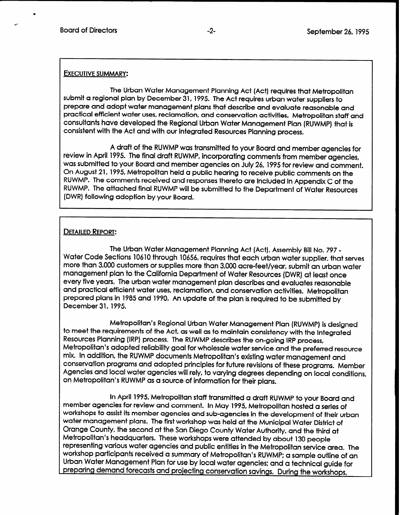## **EXECUTIVE SUMMARY:**

The Urban Water Management Planning Act (Act) requires that Metropolitan submit a regional plan by December 31, 1995. The Act requires urban water suppliers to prepare and adopt water management plans that describe and evaluate reasonable and practical efficient water uses, reclamation, and conservation activities. Metropolitan staff and consultants have developed the Regional Urban Water Management Plan (RUWMP) that is consistent with the Act and with our Integrated Resources Planning process.

A draft of the RUWMP was transmitted to your Board and member agencies for review in April 1995. The final draft RUWMP, incorporating comments from member agencies, was submitted to your Board and member agencies on July 26, 1995 for review and comment. On August 21, 1995, Metropolitan held a public hearing to receive public comments on the RUWMP. The comments received and responses thereto are included in Appendix C of the RUWMP. The attached final RUWMP will be submitted to the Department of Water Resources (DWR) following adoption by your Board.

## **DETAILED REPORT:**

The Urban Water Management Planning Act (Act), Assembly Bill No. 797 - Water Code Sections 10610 through 10656, requires that each urban water supplier, that serves more than 3,000 customers or supplies more than 3,000 acre-feet/year, submit an urban water management plan to the California Department of Water Resources (DWR) at least once every five years. The urban water management plan describes and evaluates reasonable and practical efficient water uses, reclamation, and conservation activities. Metropolitan prepared plans in 1985 and 1990. An update of the plan is required to be submitted by December 31, 1995.

Metropolitan's Regional Urban Water Management Plan (RUWMP) is designed to meet the requirements of the Act, as well as to maintain consistency with the Integrated Resources Planning (IRP) process. The RUWMP describes the on-going IRP process, Metropolitan's adopted reliability goal for wholesale water service and the preferred resource mix. In addition, the RUWMP documents Metropolitan's existing water management and conservation programs and adopted principles for future revisions of these programs. Member Agencies and local water agencies will rely, to varying degrees depending on local conditions, on Metropolitan's RUWMP as a source of information for their plans.

In April 1995, Metropolitan staff transmitted a draft transmitted a draft  $\mathbb{R}^n$ member agencies for review and comments for indistributed a sign KOWMP 10 your board and member agencies for review and comment. In May 1995, Metropolitan hosted a series of workshops to assist its member agencies and sub-agencies in the development of their urban water management plans. The first workshop was held at the Municipal Water District of Orange County, the second at the San Diego County Water Authority, and the third at Metropolitan's headquarters. These workshops were attended by about 130 people representing various water agencies and public entities in the Metropolitan service area. The workshop participants received a summary of Metropolitan's RUWMP; a sample outline of an Urban Water Management Plan for use by local water agencies; and a technical guide for<br>preparing demand forecasts and projecting conservation savings. During the workshops,